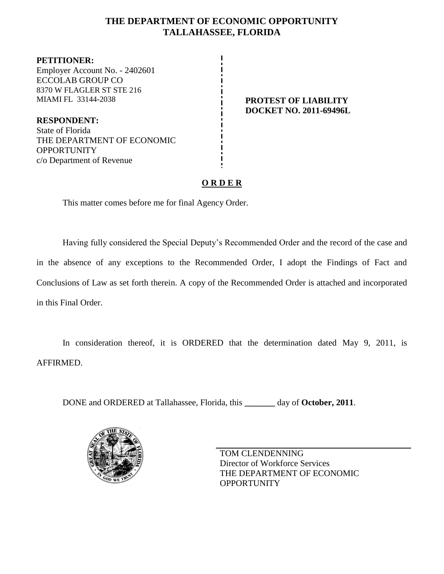## **THE DEPARTMENT OF ECONOMIC OPPORTUNITY TALLAHASSEE, FLORIDA**

**PETITIONER:** Employer Account No. - 2402601 ECCOLAB GROUP CO 8370 W FLAGLER ST STE 216 MIAMI FL 33144-2038 **PROTEST OF LIABILITY**

**RESPONDENT:** State of Florida THE DEPARTMENT OF ECONOMIC **OPPORTUNITY** c/o Department of Revenue

**DOCKET NO. 2011-69496L**

## **O R D E R**

This matter comes before me for final Agency Order.

Having fully considered the Special Deputy's Recommended Order and the record of the case and in the absence of any exceptions to the Recommended Order, I adopt the Findings of Fact and Conclusions of Law as set forth therein. A copy of the Recommended Order is attached and incorporated in this Final Order.

In consideration thereof, it is ORDERED that the determination dated May 9, 2011, is AFFIRMED.

DONE and ORDERED at Tallahassee, Florida, this **\_\_\_\_\_\_\_** day of **October, 2011**.



TOM CLENDENNING Director of Workforce Services THE DEPARTMENT OF ECONOMIC **OPPORTUNITY**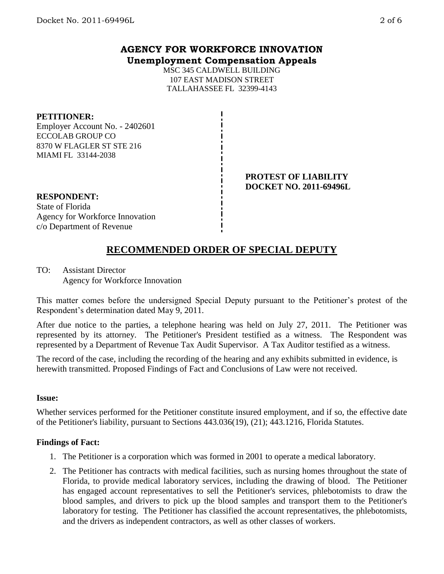## **AGENCY FOR WORKFORCE INNOVATION Unemployment Compensation Appeals**

MSC 345 CALDWELL BUILDING 107 EAST MADISON STREET TALLAHASSEE FL 32399-4143

#### **PETITIONER:**

Employer Account No. - 2402601 ECCOLAB GROUP CO 8370 W FLAGLER ST STE 216 MIAMI FL 33144-2038

#### **PROTEST OF LIABILITY DOCKET NO. 2011-69496L**

#### **RESPONDENT:** State of Florida Agency for Workforce Innovation c/o Department of Revenue

# **RECOMMENDED ORDER OF SPECIAL DEPUTY**

TO: Assistant Director Agency for Workforce Innovation

This matter comes before the undersigned Special Deputy pursuant to the Petitioner's protest of the Respondent's determination dated May 9, 2011.

After due notice to the parties, a telephone hearing was held on July 27, 2011. The Petitioner was represented by its attorney. The Petitioner's President testified as a witness. The Respondent was represented by a Department of Revenue Tax Audit Supervisor. A Tax Auditor testified as a witness.

The record of the case, including the recording of the hearing and any exhibits submitted in evidence, is herewith transmitted. Proposed Findings of Fact and Conclusions of Law were not received.

#### **Issue:**

Whether services performed for the Petitioner constitute insured employment, and if so, the effective date of the Petitioner's liability, pursuant to Sections 443.036(19), (21); 443.1216, Florida Statutes.

### **Findings of Fact:**

- 1. The Petitioner is a corporation which was formed in 2001 to operate a medical laboratory.
- 2. The Petitioner has contracts with medical facilities, such as nursing homes throughout the state of Florida, to provide medical laboratory services, including the drawing of blood. The Petitioner has engaged account representatives to sell the Petitioner's services, phlebotomists to draw the blood samples, and drivers to pick up the blood samples and transport them to the Petitioner's laboratory for testing. The Petitioner has classified the account representatives, the phlebotomists, and the drivers as independent contractors, as well as other classes of workers.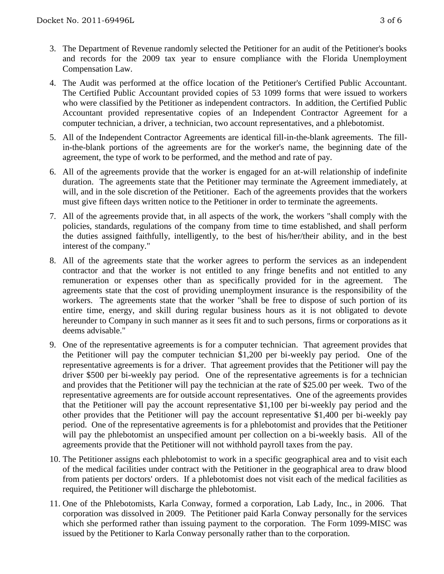- 3. The Department of Revenue randomly selected the Petitioner for an audit of the Petitioner's books and records for the 2009 tax year to ensure compliance with the Florida Unemployment Compensation Law.
- 4. The Audit was performed at the office location of the Petitioner's Certified Public Accountant. The Certified Public Accountant provided copies of 53 1099 forms that were issued to workers who were classified by the Petitioner as independent contractors. In addition, the Certified Public Accountant provided representative copies of an Independent Contractor Agreement for a computer technician, a driver, a technician, two account representatives, and a phlebotomist.
- 5. All of the Independent Contractor Agreements are identical fill-in-the-blank agreements. The fillin-the-blank portions of the agreements are for the worker's name, the beginning date of the agreement, the type of work to be performed, and the method and rate of pay.
- 6. All of the agreements provide that the worker is engaged for an at-will relationship of indefinite duration. The agreements state that the Petitioner may terminate the Agreement immediately, at will, and in the sole discretion of the Petitioner. Each of the agreements provides that the workers must give fifteen days written notice to the Petitioner in order to terminate the agreements.
- 7. All of the agreements provide that, in all aspects of the work, the workers "shall comply with the policies, standards, regulations of the company from time to time established, and shall perform the duties assigned faithfully, intelligently, to the best of his/her/their ability, and in the best interest of the company."
- 8. All of the agreements state that the worker agrees to perform the services as an independent contractor and that the worker is not entitled to any fringe benefits and not entitled to any remuneration or expenses other than as specifically provided for in the agreement. The agreements state that the cost of providing unemployment insurance is the responsibility of the workers. The agreements state that the worker "shall be free to dispose of such portion of its entire time, energy, and skill during regular business hours as it is not obligated to devote hereunder to Company in such manner as it sees fit and to such persons, firms or corporations as it deems advisable."
- 9. One of the representative agreements is for a computer technician. That agreement provides that the Petitioner will pay the computer technician \$1,200 per bi-weekly pay period. One of the representative agreements is for a driver. That agreement provides that the Petitioner will pay the driver \$500 per bi-weekly pay period. One of the representative agreements is for a technician and provides that the Petitioner will pay the technician at the rate of \$25.00 per week. Two of the representative agreements are for outside account representatives. One of the agreements provides that the Petitioner will pay the account representative \$1,100 per bi-weekly pay period and the other provides that the Petitioner will pay the account representative \$1,400 per bi-weekly pay period. One of the representative agreements is for a phlebotomist and provides that the Petitioner will pay the phlebotomist an unspecified amount per collection on a bi-weekly basis. All of the agreements provide that the Petitioner will not withhold payroll taxes from the pay.
- 10. The Petitioner assigns each phlebotomist to work in a specific geographical area and to visit each of the medical facilities under contract with the Petitioner in the geographical area to draw blood from patients per doctors' orders. If a phlebotomist does not visit each of the medical facilities as required, the Petitioner will discharge the phlebotomist.
- 11. One of the Phlebotomists, Karla Conway, formed a corporation, Lab Lady, Inc., in 2006. That corporation was dissolved in 2009. The Petitioner paid Karla Conway personally for the services which she performed rather than issuing payment to the corporation. The Form 1099-MISC was issued by the Petitioner to Karla Conway personally rather than to the corporation.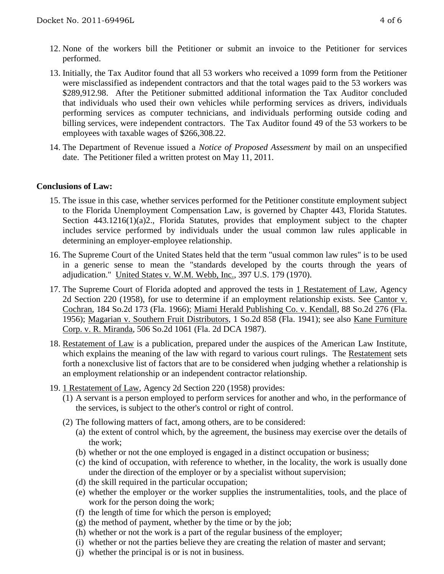- 12. None of the workers bill the Petitioner or submit an invoice to the Petitioner for services performed.
- 13. Initially, the Tax Auditor found that all 53 workers who received a 1099 form from the Petitioner were misclassified as independent contractors and that the total wages paid to the 53 workers was \$289,912.98. After the Petitioner submitted additional information the Tax Auditor concluded that individuals who used their own vehicles while performing services as drivers, individuals performing services as computer technicians, and individuals performing outside coding and billing services, were independent contractors. The Tax Auditor found 49 of the 53 workers to be employees with taxable wages of \$266,308.22.
- 14. The Department of Revenue issued a *Notice of Proposed Assessment* by mail on an unspecified date. The Petitioner filed a written protest on May 11, 2011.

#### **Conclusions of Law:**

- 15. The issue in this case, whether services performed for the Petitioner constitute employment subject to the Florida Unemployment Compensation Law, is governed by Chapter 443, Florida Statutes. Section 443.1216(1)(a)2., Florida Statutes, provides that employment subject to the chapter includes service performed by individuals under the usual common law rules applicable in determining an employer-employee relationship.
- 16. The Supreme Court of the United States held that the term "usual common law rules" is to be used in a generic sense to mean the "standards developed by the courts through the years of adjudication." United States v. W.M. Webb, Inc., 397 U.S. 179 (1970).
- 17. The Supreme Court of Florida adopted and approved the tests in 1 Restatement of Law, Agency 2d Section 220 (1958), for use to determine if an employment relationship exists. See Cantor v. Cochran, 184 So.2d 173 (Fla. 1966); Miami Herald Publishing Co. v. Kendall, 88 So.2d 276 (Fla. 1956); Magarian v. Southern Fruit Distributors, 1 So.2d 858 (Fla. 1941); see also Kane Furniture Corp. v. R. Miranda, 506 So.2d 1061 (Fla. 2d DCA 1987).
- 18. Restatement of Law is a publication, prepared under the auspices of the American Law Institute, which explains the meaning of the law with regard to various court rulings. The Restatement sets forth a nonexclusive list of factors that are to be considered when judging whether a relationship is an employment relationship or an independent contractor relationship.
- 19. 1 Restatement of Law, Agency 2d Section 220 (1958) provides:
	- (1) A servant is a person employed to perform services for another and who, in the performance of the services, is subject to the other's control or right of control.
	- (2) The following matters of fact, among others, are to be considered:
		- (a) the extent of control which, by the agreement, the business may exercise over the details of the work;
		- (b) whether or not the one employed is engaged in a distinct occupation or business;
		- (c) the kind of occupation, with reference to whether, in the locality, the work is usually done under the direction of the employer or by a specialist without supervision;
		- (d) the skill required in the particular occupation;
		- (e) whether the employer or the worker supplies the instrumentalities, tools, and the place of work for the person doing the work;
		- (f) the length of time for which the person is employed;
		- (g) the method of payment, whether by the time or by the job;
		- (h) whether or not the work is a part of the regular business of the employer;
		- (i) whether or not the parties believe they are creating the relation of master and servant;
		- (j) whether the principal is or is not in business.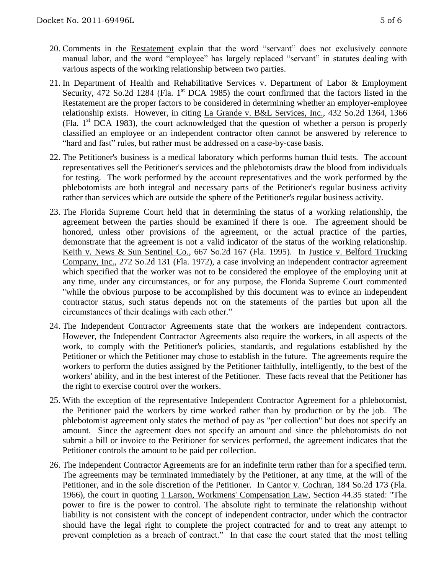- 20. Comments in the Restatement explain that the word "servant" does not exclusively connote manual labor, and the word "employee" has largely replaced "servant" in statutes dealing with various aspects of the working relationship between two parties.
- 21. In Department of Health and Rehabilitative Services v. Department of Labor & Employment Security, 472 So.2d 1284 (Fla. 1<sup>st</sup> DCA 1985) the court confirmed that the factors listed in the Restatement are the proper factors to be considered in determining whether an employer-employee relationship exists. However, in citing La Grande v. B&L Services, Inc., 432 So.2d 1364, 1366 (Fla.  $1<sup>st</sup>$  DCA 1983), the court acknowledged that the question of whether a person is properly classified an employee or an independent contractor often cannot be answered by reference to "hard and fast" rules, but rather must be addressed on a case-by-case basis.
- 22. The Petitioner's business is a medical laboratory which performs human fluid tests. The account representatives sell the Petitioner's services and the phlebotomists draw the blood from individuals for testing. The work performed by the account representatives and the work performed by the phlebotomists are both integral and necessary parts of the Petitioner's regular business activity rather than services which are outside the sphere of the Petitioner's regular business activity.
- 23. The Florida Supreme Court held that in determining the status of a working relationship, the agreement between the parties should be examined if there is one. The agreement should be honored, unless other provisions of the agreement, or the actual practice of the parties, demonstrate that the agreement is not a valid indicator of the status of the working relationship. Keith v. News & Sun Sentinel Co., 667 So.2d 167 (Fla. 1995). In Justice v. Belford Trucking Company, Inc., 272 So.2d 131 (Fla. 1972), a case involving an independent contractor agreement which specified that the worker was not to be considered the employee of the employing unit at any time, under any circumstances, or for any purpose, the Florida Supreme Court commented "while the obvious purpose to be accomplished by this document was to evince an independent contractor status, such status depends not on the statements of the parties but upon all the circumstances of their dealings with each other."
- 24. The Independent Contractor Agreements state that the workers are independent contractors. However, the Independent Contractor Agreements also require the workers, in all aspects of the work, to comply with the Petitioner's policies, standards, and regulations established by the Petitioner or which the Petitioner may chose to establish in the future. The agreements require the workers to perform the duties assigned by the Petitioner faithfully, intelligently, to the best of the workers' ability, and in the best interest of the Petitioner. These facts reveal that the Petitioner has the right to exercise control over the workers.
- 25. With the exception of the representative Independent Contractor Agreement for a phlebotomist, the Petitioner paid the workers by time worked rather than by production or by the job. The phlebotomist agreement only states the method of pay as "per collection" but does not specify an amount. Since the agreement does not specify an amount and since the phlebotomists do not submit a bill or invoice to the Petitioner for services performed, the agreement indicates that the Petitioner controls the amount to be paid per collection.
- 26. The Independent Contractor Agreements are for an indefinite term rather than for a specified term. The agreements may be terminated immediately by the Petitioner, at any time, at the will of the Petitioner, and in the sole discretion of the Petitioner. In Cantor v. Cochran, 184 So.2d 173 (Fla. 1966), the court in quoting 1 Larson, Workmens' Compensation Law, Section 44.35 stated: "The power to fire is the power to control. The absolute right to terminate the relationship without liability is not consistent with the concept of independent contractor, under which the contractor should have the legal right to complete the project contracted for and to treat any attempt to prevent completion as a breach of contract." In that case the court stated that the most telling